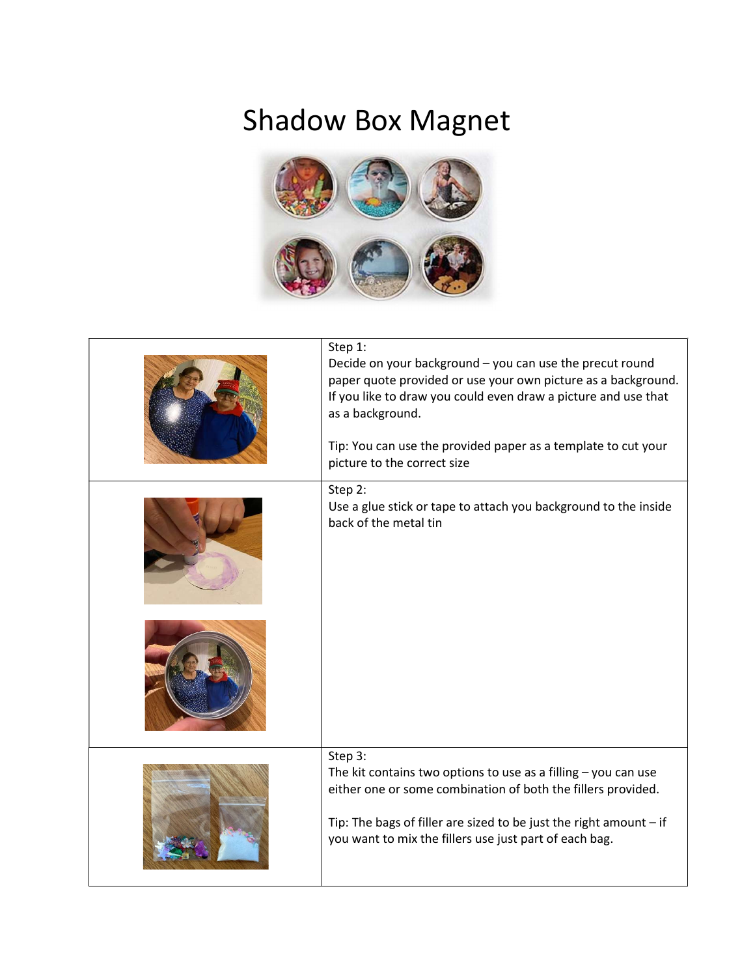## Shadow Box Magnet



| Step 1:<br>Decide on your background - you can use the precut round<br>paper quote provided or use your own picture as a background.<br>If you like to draw you could even draw a picture and use that<br>as a background.<br>Tip: You can use the provided paper as a template to cut your<br>picture to the correct size |
|----------------------------------------------------------------------------------------------------------------------------------------------------------------------------------------------------------------------------------------------------------------------------------------------------------------------------|
| Step 2:<br>Use a glue stick or tape to attach you background to the inside<br>back of the metal tin                                                                                                                                                                                                                        |
|                                                                                                                                                                                                                                                                                                                            |
| Step 3:<br>The kit contains two options to use as a filling $-$ you can use<br>either one or some combination of both the fillers provided.<br>Tip: The bags of filler are sized to be just the right amount $-$ if<br>you want to mix the fillers use just part of each bag.                                              |